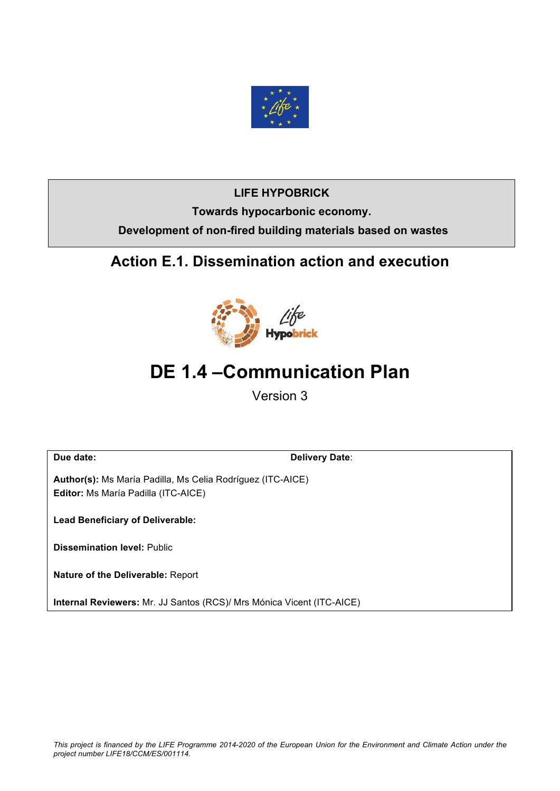

## **LIFE HYPOBRICK**

**Towards hypocarbonic economy. Development of non-fired building materials based on wastes**

# **Action E.1. Dissemination action and execution**



# **DE 1.4 –Communication Plan**

Version 3

**Due date: Delivery Date**:

**Author(s):** Ms María Padilla, Ms Celia Rodríguez (ITC-AICE) **Editor:** Ms María Padilla (ITC-AICE)

**Lead Beneficiary of Deliverable:**

**Dissemination level:** Public

**Nature of the Deliverable:** Report

**Internal Reviewers:** Mr. JJ Santos (RCS)/ Mrs Mónica Vicent (ITC-AICE)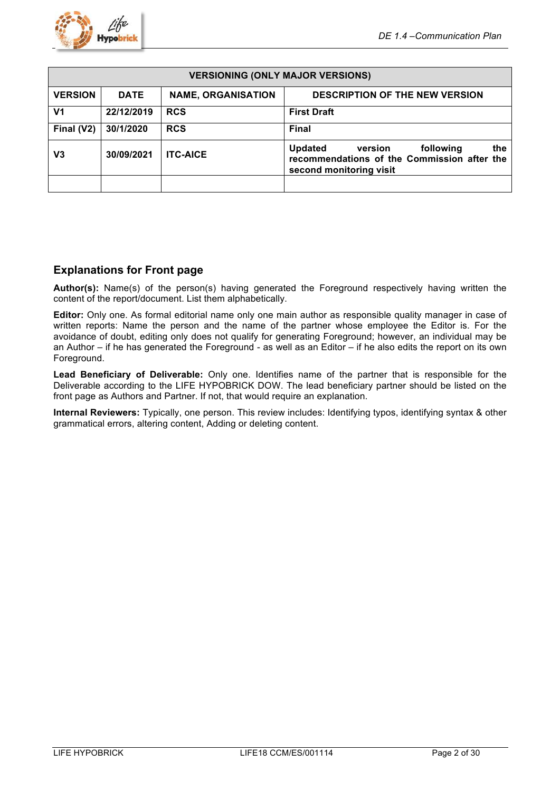

| <b>VERSIONING (ONLY MAJOR VERSIONS)</b> |                                                                                   |                 |                                                                                                                         |  |  |
|-----------------------------------------|-----------------------------------------------------------------------------------|-----------------|-------------------------------------------------------------------------------------------------------------------------|--|--|
| <b>VERSION</b>                          | <b>DATE</b><br><b>NAME, ORGANISATION</b><br><b>DESCRIPTION OF THE NEW VERSION</b> |                 |                                                                                                                         |  |  |
| V <sub>1</sub>                          | 22/12/2019                                                                        | <b>RCS</b>      | <b>First Draft</b>                                                                                                      |  |  |
| Final (V2)                              | 30/1/2020                                                                         | <b>RCS</b>      | <b>Final</b>                                                                                                            |  |  |
| V3                                      | 30/09/2021                                                                        | <b>ITC-AICE</b> | <b>Updated</b><br>the<br>following<br>version<br>recommendations of the Commission after the<br>second monitoring visit |  |  |
|                                         |                                                                                   |                 |                                                                                                                         |  |  |

## **Explanations for Front page**

**Author(s):** Name(s) of the person(s) having generated the Foreground respectively having written the content of the report/document. List them alphabetically.

**Editor:** Only one. As formal editorial name only one main author as responsible quality manager in case of written reports: Name the person and the name of the partner whose employee the Editor is. For the avoidance of doubt, editing only does not qualify for generating Foreground; however, an individual may be an Author – if he has generated the Foreground - as well as an Editor – if he also edits the report on its own Foreground.

**Lead Beneficiary of Deliverable:** Only one. Identifies name of the partner that is responsible for the Deliverable according to the LIFE HYPOBRICK DOW. The lead beneficiary partner should be listed on the front page as Authors and Partner. If not, that would require an explanation.

**Internal Reviewers:** Typically, one person. This review includes: Identifying typos, identifying syntax & other grammatical errors, altering content, Adding or deleting content.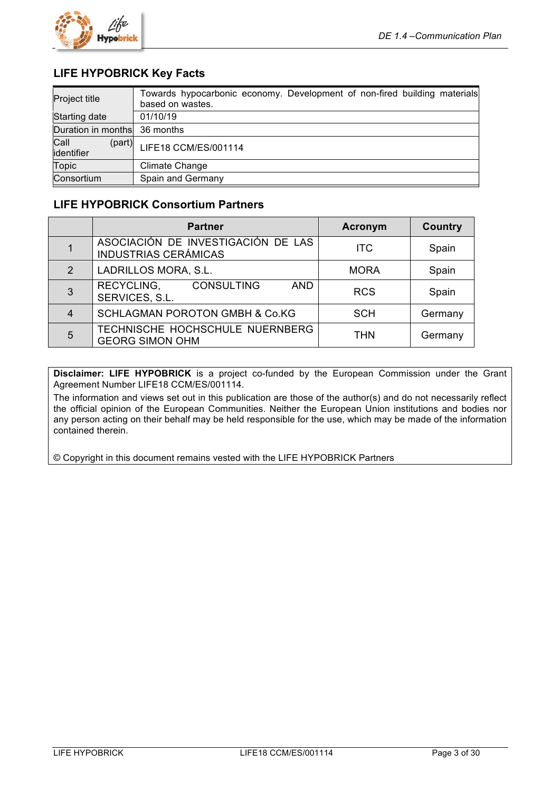

## **LIFE HYPOBRICK Key Facts**

| Project title                | Towards hypocarbonic economy. Development of non-fired building materials<br>based on wastes. |
|------------------------------|-----------------------------------------------------------------------------------------------|
| Starting date                | 01/10/19                                                                                      |
| Duration in months 36 months |                                                                                               |
| Call<br>(part)<br>identifier | LIFE18 CCM/ES/001114                                                                          |
| <b>Topic</b>                 | Climate Change                                                                                |
| Consortium                   | Spain and Germany                                                                             |

## **LIFE HYPOBRICK Consortium Partners**

|              | <b>Partner</b>                                                    | <b>Acronym</b> | <b>Country</b> |
|--------------|-------------------------------------------------------------------|----------------|----------------|
|              | ASOCIACIÓN DE INVESTIGACIÓN DE LAS<br><b>INDUSTRIAS CERÁMICAS</b> | <b>ITC</b>     | Spain          |
| $\mathcal P$ | LADRILLOS MORA, S.L.                                              | <b>MORA</b>    | Spain          |
| 3            | RECYCLING,<br><b>CONSULTING</b><br><b>AND</b><br>SERVICES, S.L.   | <b>RCS</b>     | Spain          |
| 4            | <b>SCHLAGMAN POROTON GMBH &amp; Co.KG</b>                         | <b>SCH</b>     | Germany        |
| 5            | TECHNISCHE HOCHSCHULE NUERNBERG<br><b>GEORG SIMON OHM</b>         | <b>THN</b>     | Germany        |

**Disclaimer: LIFE HYPOBRICK** is a project co-funded by the European Commission under the Grant Agreement Number LIFE18 CCM/ES/001114.

The information and views set out in this publication are those of the author(s) and do not necessarily reflect the official opinion of the European Communities. Neither the European Union institutions and bodies nor any person acting on their behalf may be held responsible for the use, which may be made of the information contained therein.

© Copyright in this document remains vested with the LIFE HYPOBRICK Partners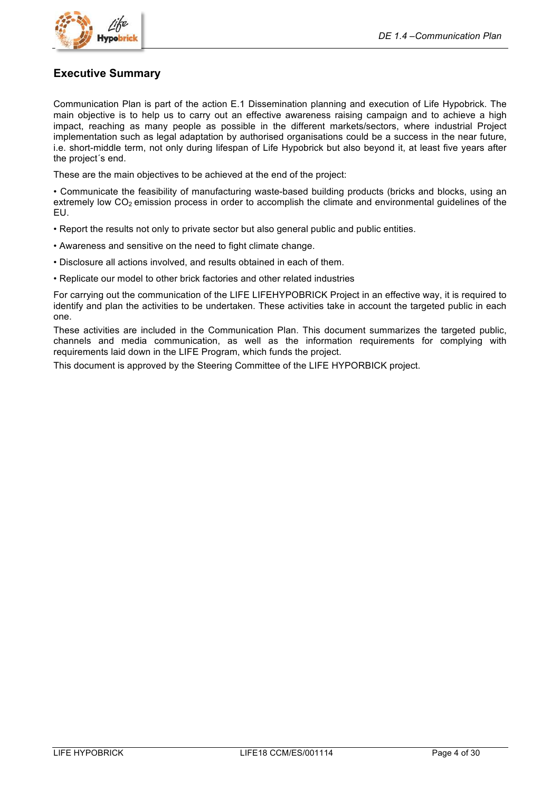

## **Executive Summary**

Communication Plan is part of the action E.1 Dissemination planning and execution of Life Hypobrick. The main objective is to help us to carry out an effective awareness raising campaign and to achieve a high impact, reaching as many people as possible in the different markets/sectors, where industrial Project implementation such as legal adaptation by authorised organisations could be a success in the near future, i.e. short-middle term, not only during lifespan of Life Hypobrick but also beyond it, at least five years after the project´s end.

These are the main objectives to be achieved at the end of the project:

• Communicate the feasibility of manufacturing waste-based building products (bricks and blocks, using an extremely low  $CO<sub>2</sub>$  emission process in order to accomplish the climate and environmental guidelines of the EU.

- Report the results not only to private sector but also general public and public entities.
- Awareness and sensitive on the need to fight climate change.
- Disclosure all actions involved, and results obtained in each of them.
- Replicate our model to other brick factories and other related industries

For carrying out the communication of the LIFE LIFEHYPOBRICK Project in an effective way, it is required to identify and plan the activities to be undertaken. These activities take in account the targeted public in each one.

These activities are included in the Communication Plan. This document summarizes the targeted public, channels and media communication, as well as the information requirements for complying with requirements laid down in the LIFE Program, which funds the project.

This document is approved by the Steering Committee of the LIFE HYPORBICK project.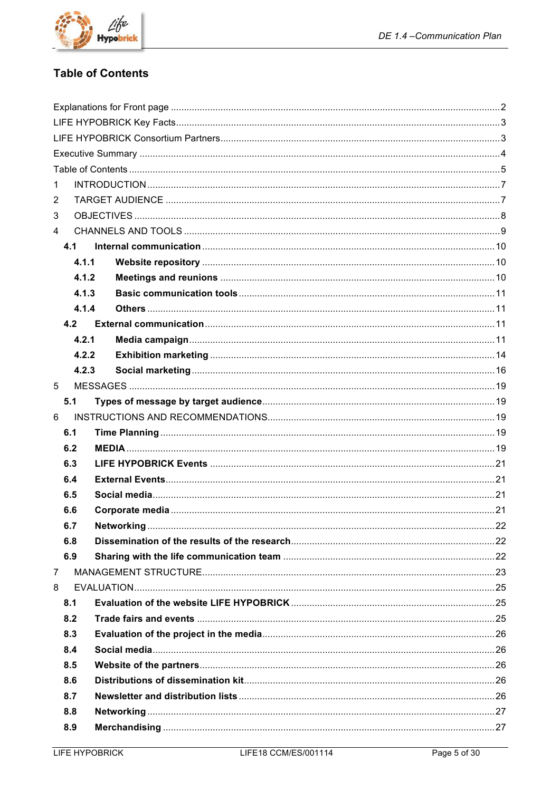

## **Table of Contents**

| 1              |       |  |  |
|----------------|-------|--|--|
| $\overline{2}$ |       |  |  |
| 3              |       |  |  |
| $\overline{4}$ |       |  |  |
|                | 4.1   |  |  |
|                | 4.1.1 |  |  |
|                | 4.1.2 |  |  |
|                | 4.1.3 |  |  |
|                | 4.1.4 |  |  |
|                | 4.2   |  |  |
|                | 4.2.1 |  |  |
|                | 4.2.2 |  |  |
|                | 4.2.3 |  |  |
| 5              |       |  |  |
|                | 5.1   |  |  |
| 6              |       |  |  |
|                | 6.1   |  |  |
|                | 6.2   |  |  |
|                | 6.3   |  |  |
|                | 6.4   |  |  |
|                | 6.5   |  |  |
|                | 6.6   |  |  |
|                | 6.7   |  |  |
|                | 6.8   |  |  |
|                | 6.9   |  |  |
| $\overline{7}$ |       |  |  |
| 8              |       |  |  |
|                | 8.1   |  |  |
|                | 8.2   |  |  |
|                | 8.3   |  |  |
|                | 8.4   |  |  |
|                | 8.5   |  |  |
|                | 8.6   |  |  |
|                | 8.7   |  |  |
|                | 8.8   |  |  |
|                | 8.9   |  |  |
|                |       |  |  |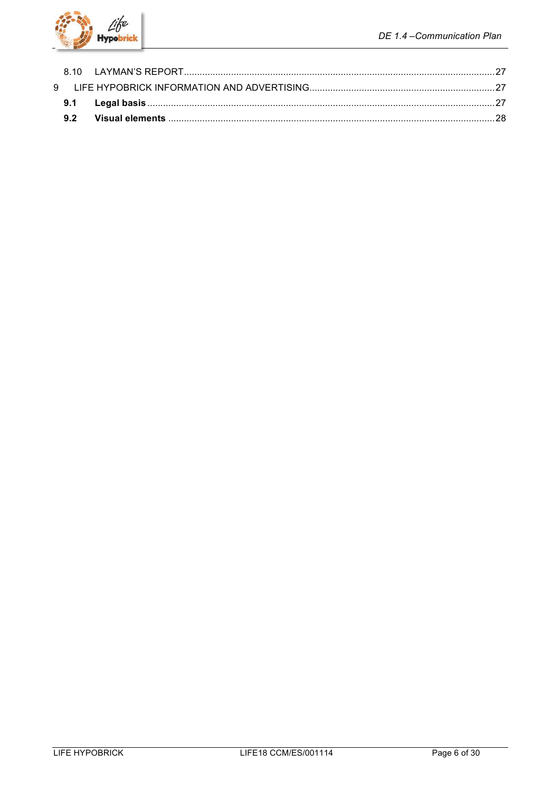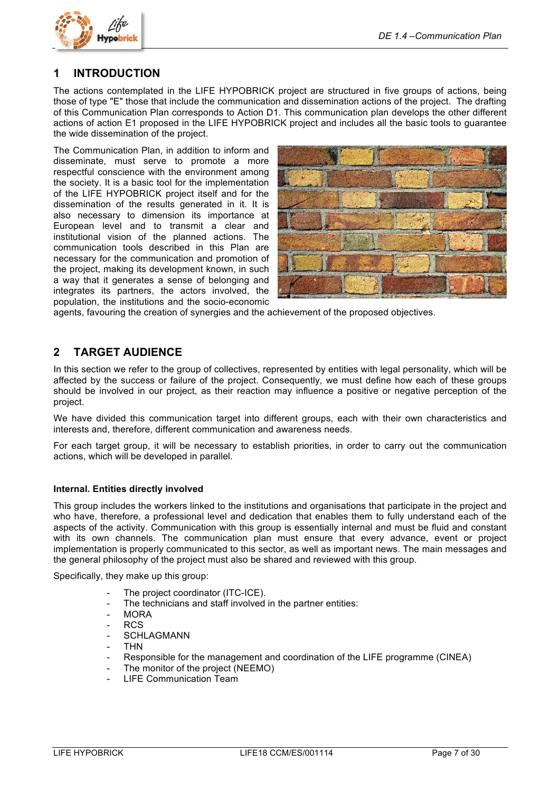

## **1 INTRODUCTION**

The actions contemplated in the LIFE HYPOBRICK project are structured in five groups of actions, being those of type "E" those that include the communication and dissemination actions of the project. The drafting of this Communication Plan corresponds to Action D1. This communication plan develops the other different actions of action E1 proposed in the LIFE HYPOBRICK project and includes all the basic tools to guarantee the wide dissemination of the project.

The Communication Plan, in addition to inform and disseminate, must serve to promote a more respectful conscience with the environment among the society. It is a basic tool for the implementation of the LIFE HYPOBRICK project itself and for the dissemination of the results generated in it. It is also necessary to dimension its importance at European level and to transmit a clear and institutional vision of the planned actions. The communication tools described in this Plan are necessary for the communication and promotion of the project, making its development known, in such a way that it generates a sense of belonging and integrates its partners, the actors involved, the population, the institutions and the socio-economic



agents, favouring the creation of synergies and the achievement of the proposed objectives.

## **2 TARGET AUDIENCE**

In this section we refer to the group of collectives, represented by entities with legal personality, which will be affected by the success or failure of the project. Consequently, we must define how each of these groups should be involved in our project, as their reaction may influence a positive or negative perception of the project.

We have divided this communication target into different groups, each with their own characteristics and interests and, therefore, different communication and awareness needs.

For each target group, it will be necessary to establish priorities, in order to carry out the communication actions, which will be developed in parallel.

#### **Internal. Entities directly involved**

This group includes the workers linked to the institutions and organisations that participate in the project and who have, therefore, a professional level and dedication that enables them to fully understand each of the aspects of the activity. Communication with this group is essentially internal and must be fluid and constant with its own channels. The communication plan must ensure that every advance, event or project implementation is properly communicated to this sector, as well as important news. The main messages and the general philosophy of the project must also be shared and reviewed with this group.

Specifically, they make up this group:

- The project coordinator (ITC-ICE).
- The technicians and staff involved in the partner entities:
- MORA
- RCS
- SCHLAGMANN
- THN
- Responsible for the management and coordination of the LIFE programme (CINEA)
- The monitor of the project (NEEMO)
- LIFE Communication Team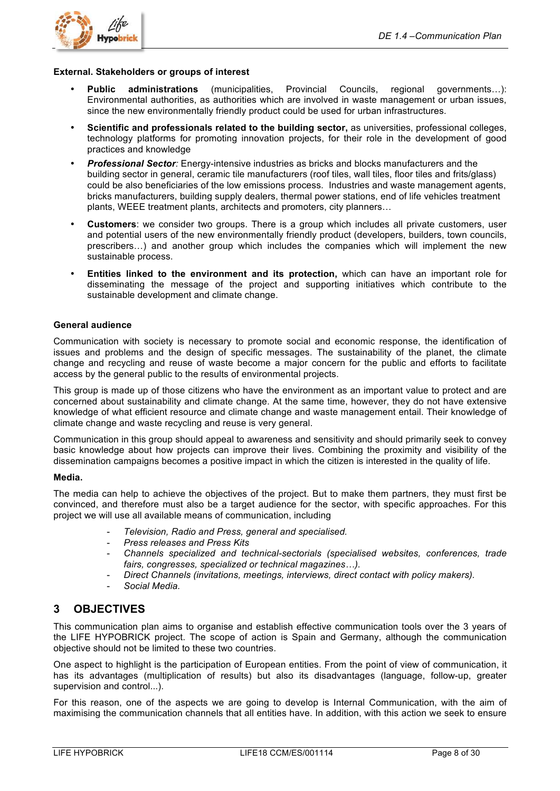

#### **External. Stakeholders or groups of interest**

- **Public administrations** (municipalities, Provincial Councils, regional governments…): Environmental authorities, as authorities which are involved in waste management or urban issues, since the new environmentally friendly product could be used for urban infrastructures.
- **Scientific and professionals related to the building sector,** as universities, professional colleges, technology platforms for promoting innovation projects, for their role in the development of good practices and knowledge
- *Professional Sector:* Energy-intensive industries as bricks and blocks manufacturers and the building sector in general, ceramic tile manufacturers (roof tiles, wall tiles, floor tiles and frits/glass) could be also beneficiaries of the low emissions process. Industries and waste management agents, bricks manufacturers, building supply dealers, thermal power stations, end of life vehicles treatment plants, WEEE treatment plants, architects and promoters, city planners…
- **Customers**: we consider two groups. There is a group which includes all private customers, user and potential users of the new environmentally friendly product (developers, builders, town councils, prescribers…) and another group which includes the companies which will implement the new sustainable process.
- **Entities linked to the environment and its protection,** which can have an important role for disseminating the message of the project and supporting initiatives which contribute to the sustainable development and climate change.

#### **General audience**

Communication with society is necessary to promote social and economic response, the identification of issues and problems and the design of specific messages. The sustainability of the planet, the climate change and recycling and reuse of waste become a major concern for the public and efforts to facilitate access by the general public to the results of environmental projects.

This group is made up of those citizens who have the environment as an important value to protect and are concerned about sustainability and climate change. At the same time, however, they do not have extensive knowledge of what efficient resource and climate change and waste management entail. Their knowledge of climate change and waste recycling and reuse is very general.

Communication in this group should appeal to awareness and sensitivity and should primarily seek to convey basic knowledge about how projects can improve their lives. Combining the proximity and visibility of the dissemination campaigns becomes a positive impact in which the citizen is interested in the quality of life.

#### **Media.**

The media can help to achieve the objectives of the project. But to make them partners, they must first be convinced, and therefore must also be a target audience for the sector, with specific approaches. For this project we will use all available means of communication, including

- *Television, Radio and Press, general and specialised.*
- *Press releases and Press Kits*
- *Channels specialized and technical-sectorials (specialised websites, conferences, trade fairs, congresses, specialized or technical magazines…).*
- *Direct Channels (invitations, meetings, interviews, direct contact with policy makers).*
- *Social Media.*

## **3 OBJECTIVES**

This communication plan aims to organise and establish effective communication tools over the 3 years of the LIFE HYPOBRICK project. The scope of action is Spain and Germany, although the communication objective should not be limited to these two countries.

One aspect to highlight is the participation of European entities. From the point of view of communication, it has its advantages (multiplication of results) but also its disadvantages (language, follow-up, greater supervision and control...).

For this reason, one of the aspects we are going to develop is Internal Communication, with the aim of maximising the communication channels that all entities have. In addition, with this action we seek to ensure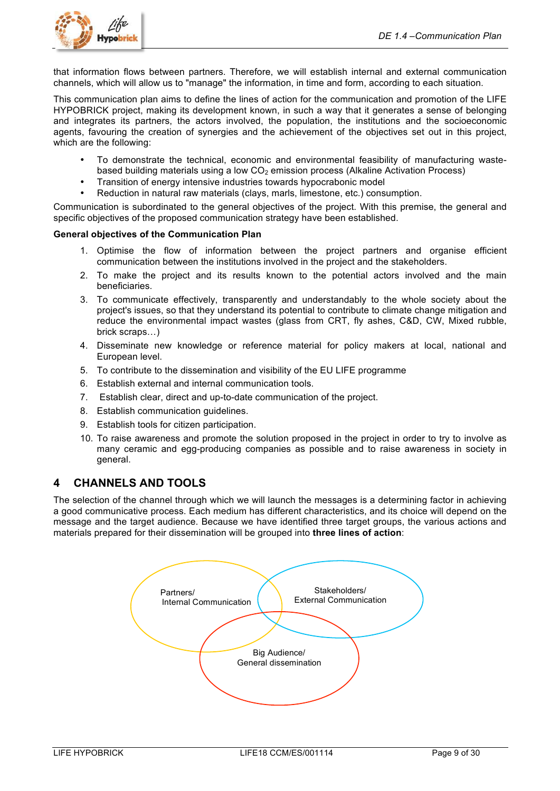

that information flows between partners. Therefore, we will establish internal and external communication channels, which will allow us to "manage" the information, in time and form, according to each situation.

This communication plan aims to define the lines of action for the communication and promotion of the LIFE HYPOBRICK project, making its development known, in such a way that it generates a sense of belonging and integrates its partners, the actors involved, the population, the institutions and the socioeconomic agents, favouring the creation of synergies and the achievement of the objectives set out in this project, which are the following:

- To demonstrate the technical, economic and environmental feasibility of manufacturing wastebased building materials using a low  $CO<sub>2</sub>$  emission process (Alkaline Activation Process)
- Transition of energy intensive industries towards hypocrabonic model
- Reduction in natural raw materials (clays, marls, limestone, etc.) consumption.

Communication is subordinated to the general objectives of the project. With this premise, the general and specific objectives of the proposed communication strategy have been established.

#### **General objectives of the Communication Plan**

- 1. Optimise the flow of information between the project partners and organise efficient communication between the institutions involved in the project and the stakeholders.
- 2. To make the project and its results known to the potential actors involved and the main beneficiaries.
- 3. To communicate effectively, transparently and understandably to the whole society about the project's issues, so that they understand its potential to contribute to climate change mitigation and reduce the environmental impact wastes (glass from CRT, fly ashes, C&D, CW, Mixed rubble, brick scraps…)
- 4. Disseminate new knowledge or reference material for policy makers at local, national and European level.
- 5. To contribute to the dissemination and visibility of the EU LIFE programme
- 6. Establish external and internal communication tools.
- 7. Establish clear, direct and up-to-date communication of the project.
- 8. Establish communication guidelines.
- 9. Establish tools for citizen participation.
- 10. To raise awareness and promote the solution proposed in the project in order to try to involve as many ceramic and egg-producing companies as possible and to raise awareness in society in general.

## **4 CHANNELS AND TOOLS**

The selection of the channel through which we will launch the messages is a determining factor in achieving a good communicative process. Each medium has different characteristics, and its choice will depend on the message and the target audience. Because we have identified three target groups, the various actions and materials prepared for their dissemination will be grouped into **three lines of action**:

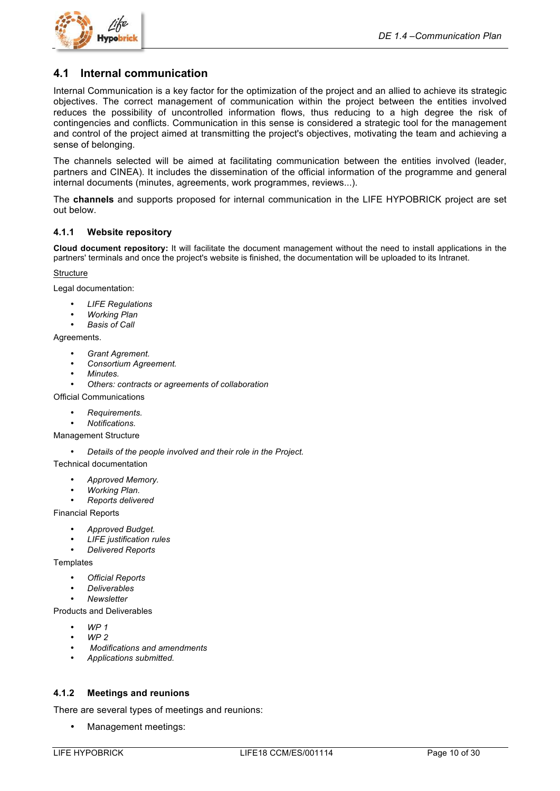

## **4.1 Internal communication**

Internal Communication is a key factor for the optimization of the project and an allied to achieve its strategic objectives. The correct management of communication within the project between the entities involved reduces the possibility of uncontrolled information flows, thus reducing to a high degree the risk of contingencies and conflicts. Communication in this sense is considered a strategic tool for the management and control of the project aimed at transmitting the project's objectives, motivating the team and achieving a sense of belonging.

The channels selected will be aimed at facilitating communication between the entities involved (leader, partners and CINEA). It includes the dissemination of the official information of the programme and general internal documents (minutes, agreements, work programmes, reviews...).

The **channels** and supports proposed for internal communication in the LIFE HYPOBRICK project are set out below.

#### **4.1.1 Website repository**

**Cloud document repository:** It will facilitate the document management without the need to install applications in the partners' terminals and once the project's website is finished, the documentation will be uploaded to its Intranet.

#### **Structure**

Legal documentation:

- *LIFE Regulations*
- *Working Plan*
- *Basis of Call*

#### Agreements.

- *Grant Agrement.*
- *Consortium Agreement.*
- *Minutes.*
- *Others: contracts or agreements of collaboration*

Official Communications

- *Requirements.*
- *Notifications.*

Management Structure

• *Details of the people involved and their role in the Project.*

Technical documentation

- *Approved Memory.*
- *Working Plan.*
- *Reports delivered*

Financial Reports

- *Approved Budget.*
- *LIFE justification rules*
- *Delivered Reports*

**Templates** 

- *Official Reports*
- *Deliverables*
- *Newsletter*

Products and Deliverables

- *WP 1*
- *WP 2*
- *Modifications and amendments*
- *Applications submitted.*

### **4.1.2 Meetings and reunions**

There are several types of meetings and reunions:

• Management meetings: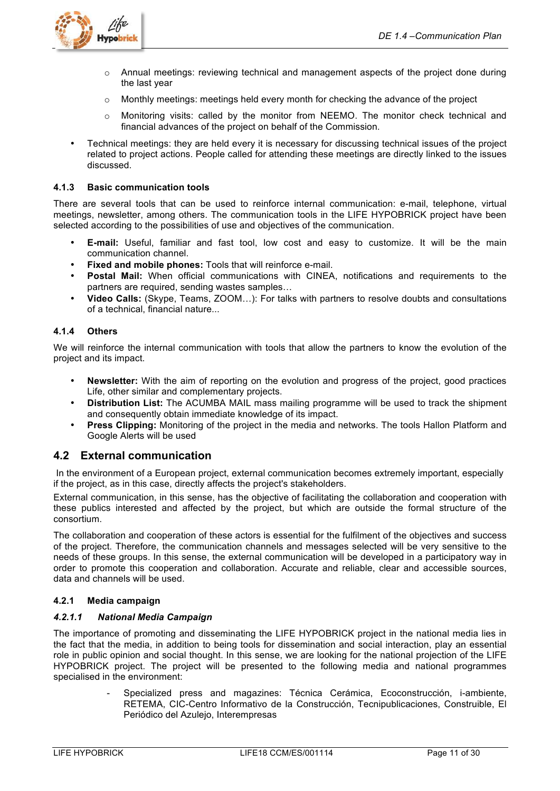

- o Annual meetings: reviewing technical and management aspects of the project done during the last year
- $\circ$  Monthly meetings: meetings held every month for checking the advance of the project
- $\circ$  Monitoring visits: called by the monitor from NEEMO. The monitor check technical and financial advances of the project on behalf of the Commission.
- Technical meetings: they are held every it is necessary for discussing technical issues of the project related to project actions. People called for attending these meetings are directly linked to the issues discussed.

#### **4.1.3 Basic communication tools**

There are several tools that can be used to reinforce internal communication: e-mail, telephone, virtual meetings, newsletter, among others. The communication tools in the LIFE HYPOBRICK project have been selected according to the possibilities of use and objectives of the communication.

- **E-mail:** Useful, familiar and fast tool, low cost and easy to customize. It will be the main communication channel.
- **Fixed and mobile phones:** Tools that will reinforce e-mail.
- **Postal Mail:** When official communications with CINEA, notifications and requirements to the partners are required, sending wastes samples…
- **Video Calls:** (Skype, Teams, ZOOM…): For talks with partners to resolve doubts and consultations of a technical, financial nature...

#### **4.1.4 Others**

We will reinforce the internal communication with tools that allow the partners to know the evolution of the project and its impact.

- **Newsletter:** With the aim of reporting on the evolution and progress of the project, good practices Life, other similar and complementary projects.
- **Distribution List:** The ACUMBA MAIL mass mailing programme will be used to track the shipment and consequently obtain immediate knowledge of its impact.
- **Press Clipping:** Monitoring of the project in the media and networks. The tools Hallon Platform and Google Alerts will be used

## **4.2 External communication**

In the environment of a European project, external communication becomes extremely important, especially if the project, as in this case, directly affects the project's stakeholders.

External communication, in this sense, has the objective of facilitating the collaboration and cooperation with these publics interested and affected by the project, but which are outside the formal structure of the consortium.

The collaboration and cooperation of these actors is essential for the fulfilment of the objectives and success of the project. Therefore, the communication channels and messages selected will be very sensitive to the needs of these groups. In this sense, the external communication will be developed in a participatory way in order to promote this cooperation and collaboration. Accurate and reliable, clear and accessible sources, data and channels will be used.

### **4.2.1 Media campaign**

### *4.2.1.1 National Media Campaign*

The importance of promoting and disseminating the LIFE HYPOBRICK project in the national media lies in the fact that the media, in addition to being tools for dissemination and social interaction, play an essential role in public opinion and social thought. In this sense, we are looking for the national projection of the LIFE HYPOBRICK project. The project will be presented to the following media and national programmes specialised in the environment:

> - Specialized press and magazines: Técnica Cerámica, Ecoconstrucción, i-ambiente, RETEMA, CIC-Centro Informativo de la Construcción, Tecnipublicaciones, Construible, El Periódico del Azulejo, Interempresas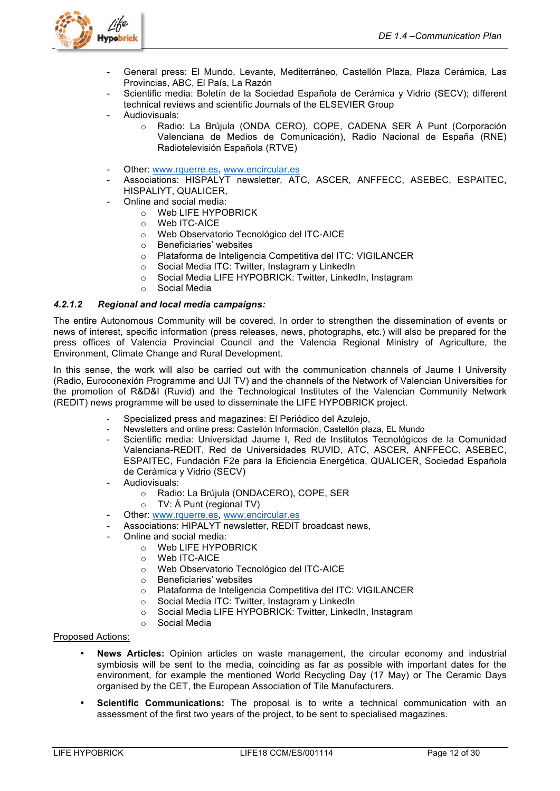

- General press: El Mundo, Levante, Mediterráneo, Castellón Plaza, Plaza Cerámica, Las Provincias, ABC, El País, La Razón
- Scientific media: Boletín de la Sociedad Española de Cerámica y Vidrio (SECV); different technical reviews and scientific Journals of the ELSEVIER Group Audiovisuals:
	- o Radio: La Brújula (ONDA CERO), COPE, CADENA SER À Punt (Corporación Valenciana de Medios de Comunicación), Radio Nacional de España (RNE) Radiotelevisión Española (RTVE)
- Other: www.rquerre.es, www.encircular.es
- Associations: HISPALYT newsletter, ATC, ASCER, ANFFECC, ASEBEC, ESPAITEC, HISPALIYT, QUALICER,
- Online and social media:
	- o Web LIFE HYPOBRICK
	- o Web ITC-AICE
	- o Web Observatorio Tecnológico del ITC-AICE
	- o Beneficiaries' websites
	- o Plataforma de Inteligencia Competitiva del ITC: VIGILANCER
	- o Social Media ITC: Twitter, Instagram y LinkedIn
	- o Social Media LIFE HYPOBRICK: Twitter, LinkedIn, Instagram
	- o Social Media

## *4.2.1.2 Regional and local media campaigns:*

The entire Autonomous Community will be covered. In order to strengthen the dissemination of events or news of interest, specific information (press releases, news, photographs, etc.) will also be prepared for the press offices of Valencia Provincial Council and the Valencia Regional Ministry of Agriculture, the Environment, Climate Change and Rural Development.

In this sense, the work will also be carried out with the communication channels of Jaume I University (Radio, Euroconexión Programme and UJI TV) and the channels of the Network of Valencian Universities for the promotion of R&D&I (Ruvid) and the Technological Institutes of the Valencian Community Network (REDIT) news programme will be used to disseminate the LIFE HYPOBRICK project.

- Specialized press and magazines: El Periódico del Azulejo,
- Newsletters and online press: Castellón Información, Castellón plaza, EL Mundo
- Scientific media: Universidad Jaume I, Red de Institutos Tecnológicos de la Comunidad Valenciana-REDIT, Red de Universidades RUVID, ATC, ASCER, ANFFECC, ASEBEC, ESPAITEC, Fundación F2e para la Eficiencia Energética, QUALICER, Sociedad Española de Cerámica y Vidrio (SECV)
- Audiovisuals:
	- o Radio: La Brújula (ONDACERO), COPE, SER
	- o TV: Á Punt (regional TV)
- Other: www.rquerre.es, www.encircular.es
- Associations: HIPALYT newsletter, REDIT broadcast news,
- Online and social media:
	- o Web LIFE HYPOBRICK
	- o Web ITC-AICE
	- o Web Observatorio Tecnológico del ITC-AICE
	- o Beneficiaries' websites
	- o Plataforma de Inteligencia Competitiva del ITC: VIGILANCER
	- o Social Media ITC: Twitter, Instagram y LinkedIn
	- o Social Media LIFE HYPOBRICK: Twitter, LinkedIn, Instagram
	- o Social Media

#### Proposed Actions:

- **News Articles:** Opinion articles on waste management, the circular economy and industrial symbiosis will be sent to the media, coinciding as far as possible with important dates for the environment, for example the mentioned World Recycling Day (17 May) or The Ceramic Days organised by the CET, the European Association of Tile Manufacturers.
- **Scientific Communications:** The proposal is to write a technical communication with an assessment of the first two years of the project, to be sent to specialised magazines.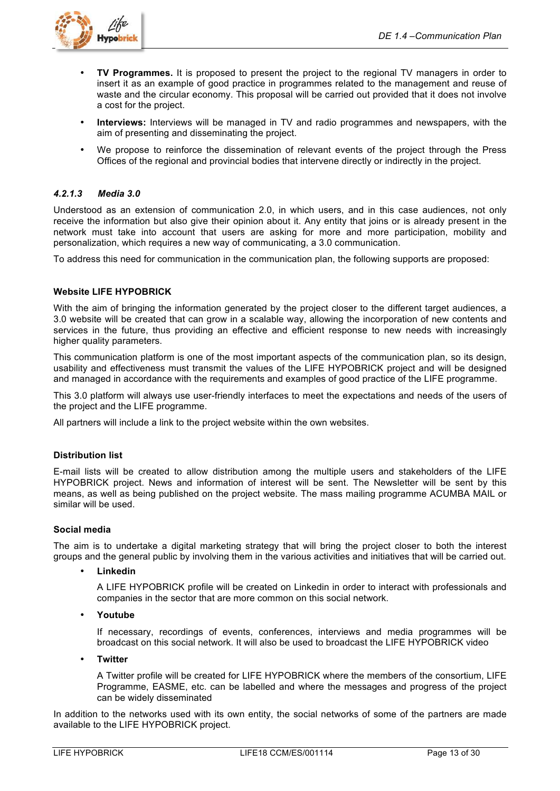

- **TV Programmes.** It is proposed to present the project to the regional TV managers in order to insert it as an example of good practice in programmes related to the management and reuse of waste and the circular economy. This proposal will be carried out provided that it does not involve a cost for the project.
- **Interviews:** Interviews will be managed in TV and radio programmes and newspapers, with the aim of presenting and disseminating the project.
- We propose to reinforce the dissemination of relevant events of the project through the Press Offices of the regional and provincial bodies that intervene directly or indirectly in the project.

### *4.2.1.3 Media 3.0*

Understood as an extension of communication 2.0, in which users, and in this case audiences, not only receive the information but also give their opinion about it. Any entity that joins or is already present in the network must take into account that users are asking for more and more participation, mobility and personalization, which requires a new way of communicating, a 3.0 communication.

To address this need for communication in the communication plan, the following supports are proposed:

### **Website LIFE HYPOBRICK**

With the aim of bringing the information generated by the project closer to the different target audiences, a 3.0 website will be created that can grow in a scalable way, allowing the incorporation of new contents and services in the future, thus providing an effective and efficient response to new needs with increasingly higher quality parameters.

This communication platform is one of the most important aspects of the communication plan, so its design, usability and effectiveness must transmit the values of the LIFE HYPOBRICK project and will be designed and managed in accordance with the requirements and examples of good practice of the LIFE programme.

This 3.0 platform will always use user-friendly interfaces to meet the expectations and needs of the users of the project and the LIFE programme.

All partners will include a link to the project website within the own websites.

#### **Distribution list**

E-mail lists will be created to allow distribution among the multiple users and stakeholders of the LIFE HYPOBRICK project. News and information of interest will be sent. The Newsletter will be sent by this means, as well as being published on the project website. The mass mailing programme ACUMBA MAIL or similar will be used.

### **Social media**

The aim is to undertake a digital marketing strategy that will bring the project closer to both the interest groups and the general public by involving them in the various activities and initiatives that will be carried out.

• **Linkedin**

A LIFE HYPOBRICK profile will be created on Linkedin in order to interact with professionals and companies in the sector that are more common on this social network.

• **Youtube**

If necessary, recordings of events, conferences, interviews and media programmes will be broadcast on this social network. It will also be used to broadcast the LIFE HYPOBRICK video

• **Twitter**

A Twitter profile will be created for LIFE HYPOBRICK where the members of the consortium, LIFE Programme, EASME, etc. can be labelled and where the messages and progress of the project can be widely disseminated

In addition to the networks used with its own entity, the social networks of some of the partners are made available to the LIFE HYPOBRICK project.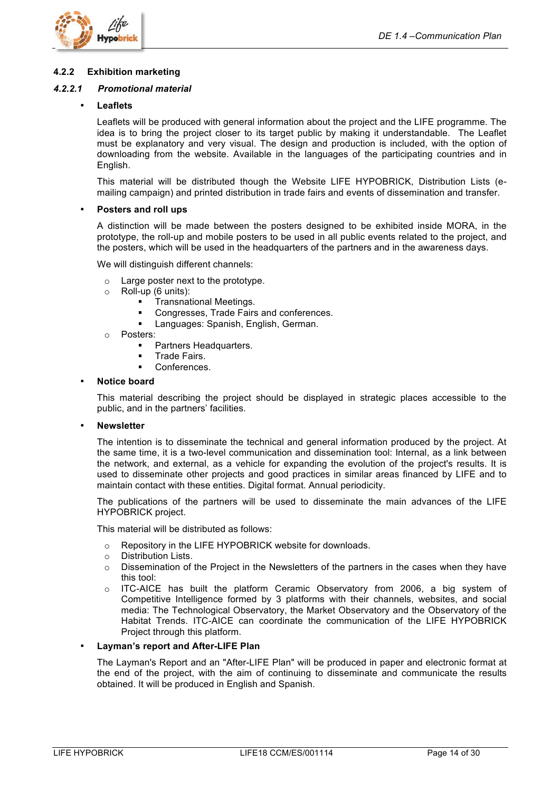

#### **4.2.2 Exhibition marketing**

#### *4.2.2.1 Promotional material*

#### • **Leaflets**

Leaflets will be produced with general information about the project and the LIFE programme. The idea is to bring the project closer to its target public by making it understandable. The Leaflet must be explanatory and very visual. The design and production is included, with the option of downloading from the website. Available in the languages of the participating countries and in English.

This material will be distributed though the Website LIFE HYPOBRICK, Distribution Lists (emailing campaign) and printed distribution in trade fairs and events of dissemination and transfer.

#### • **Posters and roll ups**

A distinction will be made between the posters designed to be exhibited inside MORA, in the prototype, the roll-up and mobile posters to be used in all public events related to the project, and the posters, which will be used in the headquarters of the partners and in the awareness days.

We will distinguish different channels:

- o Large poster next to the prototype.
- o Roll-up (6 units):
	- **EXECUTE:** Transnational Meetings.
	- **EXECONGLESS** Congresses, Trade Fairs and conferences.
	- **E.** Languages: Spanish, English, German.
- o Posters:
	- Partners Headquarters.
	- Trade Fairs.
	- Conferences.

#### • **Notice board**

This material describing the project should be displayed in strategic places accessible to the public, and in the partners' facilities.

#### • **Newsletter**

The intention is to disseminate the technical and general information produced by the project. At the same time, it is a two-level communication and dissemination tool: Internal, as a link between the network, and external, as a vehicle for expanding the evolution of the project's results. It is used to disseminate other projects and good practices in similar areas financed by LIFE and to maintain contact with these entities. Digital format. Annual periodicity.

The publications of the partners will be used to disseminate the main advances of the LIFE HYPOBRICK project.

This material will be distributed as follows:

- o Repository in the LIFE HYPOBRICK website for downloads.
- o Distribution Lists.
- $\circ$  Dissemination of the Project in the Newsletters of the partners in the cases when they have this tool:
- o ITC-AICE has built the platform Ceramic Observatory from 2006, a big system of Competitive Intelligence formed by 3 platforms with their channels, websites, and social media: The Technological Observatory, the Market Observatory and the Observatory of the Habitat Trends. ITC-AICE can coordinate the communication of the LIFE HYPOBRICK Project through this platform.

#### • **Layman's report and After-LIFE Plan**

The Layman's Report and an "After-LIFE Plan" will be produced in paper and electronic format at the end of the project, with the aim of continuing to disseminate and communicate the results obtained. It will be produced in English and Spanish.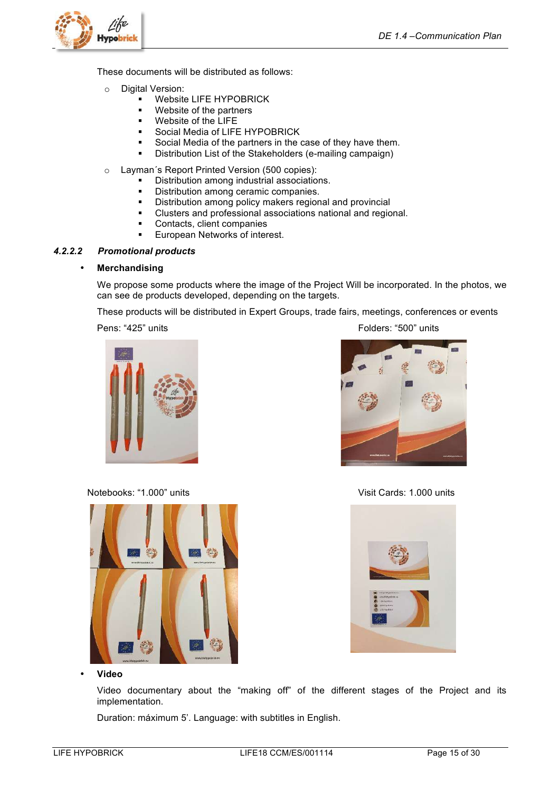

These documents will be distributed as follows:

- o Digital Version:
	- **E** Website LIFE HYPOBRICK
	- ! Website of the partners
	- ! Website of the LIFE
	- Social Media of LIFE HYPOBRICK
	- Social Media of the partners in the case of they have them.
	- ! Distribution List of the Stakeholders (e-mailing campaign)
- o Layman´s Report Printed Version (500 copies):
	- ! Distribution among industrial associations.
	- ! Distribution among ceramic companies.
	- ! Distribution among policy makers regional and provincial
	- ! Clusters and professional associations national and regional.
	- ! Contacts, client companies
	- European Networks of interest.

#### *4.2.2.2 Promotional products*

#### • **Merchandising**

We propose some products where the image of the Project Will be incorporated. In the photos, we can see de products developed, depending on the targets.

These products will be distributed in Expert Groups, trade fairs, meetings, conferences or events

Pens: "425" units Folders: "500" units



Notebooks: "1.000" units Visit Cards: 1.000 units Visit Cards: 1.000 units



• **Video**

Video documentary about the "making off" of the different stages of the Project and its implementation.

Duration: máximum 5'. Language: with subtitles in English.



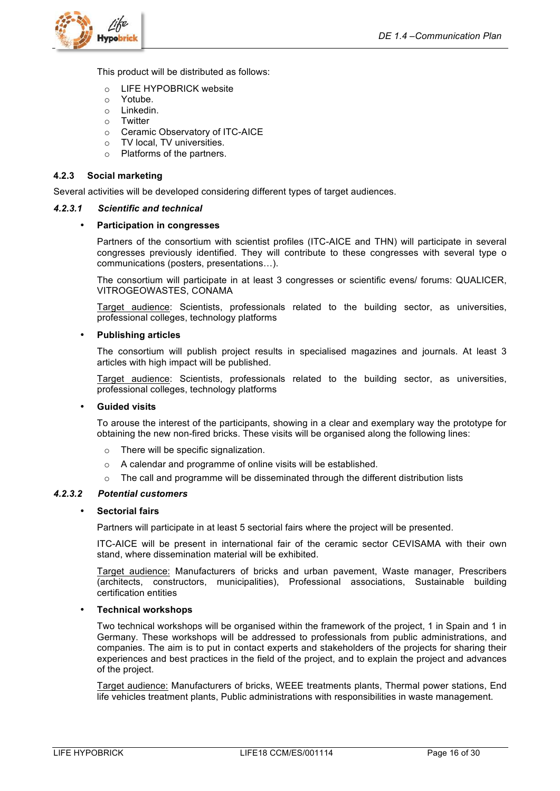

This product will be distributed as follows:

- o LIFE HYPOBRICK website
- o Yotube.
- o Linkedin.
- o Twitter
- o Ceramic Observatory of ITC-AICE
- o TV local, TV universities.
- o Platforms of the partners.

#### **4.2.3 Social marketing**

Several activities will be developed considering different types of target audiences.

#### *4.2.3.1 Scientific and technical*

#### • **Participation in congresses**

Partners of the consortium with scientist profiles (ITC-AICE and THN) will participate in several congresses previously identified. They will contribute to these congresses with several type o communications (posters, presentations…).

The consortium will participate in at least 3 congresses or scientific evens/ forums: QUALICER, VITROGEOWASTES, CONAMA

Target audience: Scientists, professionals related to the building sector, as universities, professional colleges, technology platforms

#### • **Publishing articles**

The consortium will publish project results in specialised magazines and journals. At least 3 articles with high impact will be published.

Target audience: Scientists, professionals related to the building sector, as universities, professional colleges, technology platforms

#### • **Guided visits**

To arouse the interest of the participants, showing in a clear and exemplary way the prototype for obtaining the new non-fired bricks. These visits will be organised along the following lines:

- o There will be specific signalization.
- o A calendar and programme of online visits will be established.
- $\circ$  The call and programme will be disseminated through the different distribution lists

#### *4.2.3.2 Potential customers*

#### • **Sectorial fairs**

Partners will participate in at least 5 sectorial fairs where the project will be presented.

ITC-AICE will be present in international fair of the ceramic sector CEVISAMA with their own stand, where dissemination material will be exhibited.

Target audience: Manufacturers of bricks and urban pavement, Waste manager, Prescribers (architects, constructors, municipalities), Professional associations, Sustainable building certification entities

#### • **Technical workshops**

Two technical workshops will be organised within the framework of the project, 1 in Spain and 1 in Germany. These workshops will be addressed to professionals from public administrations, and companies. The aim is to put in contact experts and stakeholders of the projects for sharing their experiences and best practices in the field of the project, and to explain the project and advances of the project.

Target audience: Manufacturers of bricks, WEEE treatments plants, Thermal power stations, End life vehicles treatment plants, Public administrations with responsibilities in waste management.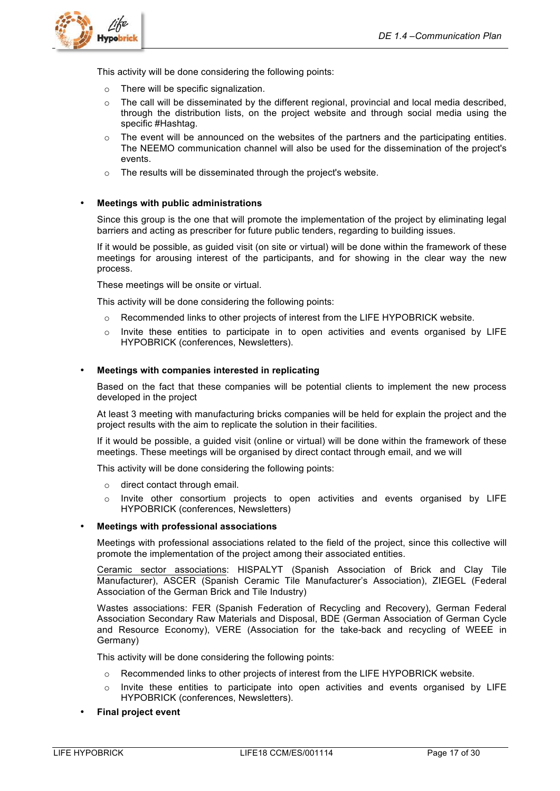

This activity will be done considering the following points:

- o There will be specific signalization.
- $\circ$  The call will be disseminated by the different regional, provincial and local media described, through the distribution lists, on the project website and through social media using the specific #Hashtag.
- $\circ$  The event will be announced on the websites of the partners and the participating entities. The NEEMO communication channel will also be used for the dissemination of the project's events.
- o The results will be disseminated through the project's website.

#### • **Meetings with public administrations**

Since this group is the one that will promote the implementation of the project by eliminating legal barriers and acting as prescriber for future public tenders, regarding to building issues.

If it would be possible, as guided visit (on site or virtual) will be done within the framework of these meetings for arousing interest of the participants, and for showing in the clear way the new process.

These meetings will be onsite or virtual.

This activity will be done considering the following points:

- o Recommended links to other projects of interest from the LIFE HYPOBRICK website.
- $\circ$  Invite these entities to participate in to open activities and events organised by LIFE HYPOBRICK (conferences, Newsletters).

#### • **Meetings with companies interested in replicating**

Based on the fact that these companies will be potential clients to implement the new process developed in the project

At least 3 meeting with manufacturing bricks companies will be held for explain the project and the project results with the aim to replicate the solution in their facilities.

If it would be possible, a guided visit (online or virtual) will be done within the framework of these meetings. These meetings will be organised by direct contact through email, and we will

This activity will be done considering the following points:

- o direct contact through email.
- $\circ$  Invite other consortium projects to open activities and events organised by LIFE HYPOBRICK (conferences, Newsletters)

#### • **Meetings with professional associations**

Meetings with professional associations related to the field of the project, since this collective will promote the implementation of the project among their associated entities.

Ceramic sector associations: HISPALYT (Spanish Association of Brick and Clay Tile Manufacturer), ASCER (Spanish Ceramic Tile Manufacturer's Association), ZIEGEL (Federal Association of the German Brick and Tile Industry)

Wastes associations: FER (Spanish Federation of Recycling and Recovery), German Federal Association Secondary Raw Materials and Disposal, BDE (German Association of German Cycle and Resource Economy), VERE (Association for the take-back and recycling of WEEE in Germany)

This activity will be done considering the following points:

- $\circ$  Recommended links to other projects of interest from the LIFE HYPOBRICK website.
- Invite these entities to participate into open activities and events organised by LIFE HYPOBRICK (conferences, Newsletters).
- **Final project event**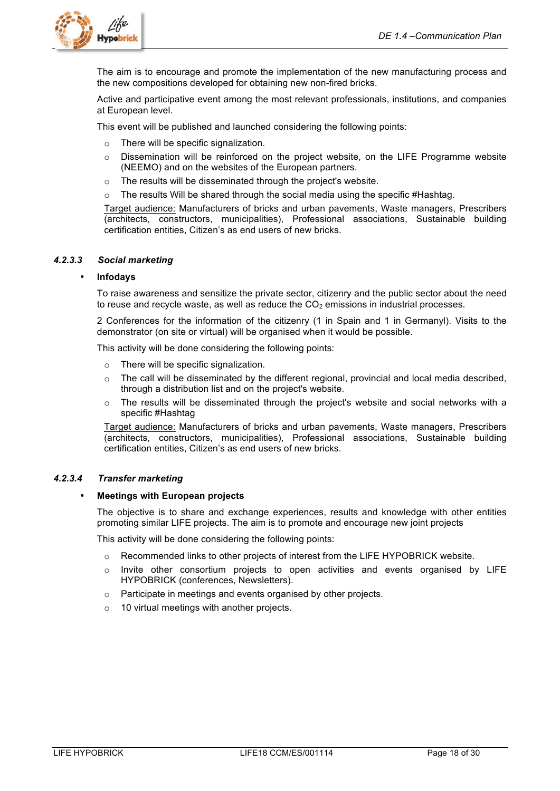

The aim is to encourage and promote the implementation of the new manufacturing process and the new compositions developed for obtaining new non-fired bricks.

Active and participative event among the most relevant professionals, institutions, and companies at European level.

This event will be published and launched considering the following points:

- o There will be specific signalization.
- o Dissemination will be reinforced on the project website, on the LIFE Programme website (NEEMO) and on the websites of the European partners.
- The results will be disseminated through the project's website.
- $\circ$  The results Will be shared through the social media using the specific #Hashtag.

Target audience: Manufacturers of bricks and urban pavements, Waste managers, Prescribers (architects, constructors, municipalities), Professional associations, Sustainable building certification entities, Citizen's as end users of new bricks.

#### *4.2.3.3 Social marketing*

#### • **Infodays**

To raise awareness and sensitize the private sector, citizenry and the public sector about the need to reuse and recycle waste, as well as reduce the  $CO<sub>2</sub>$  emissions in industrial processes.

2 Conferences for the information of the citizenry (1 in Spain and 1 in Germanyl). Visits to the demonstrator (on site or virtual) will be organised when it would be possible.

This activity will be done considering the following points:

- o There will be specific signalization.
- $\circ$  The call will be disseminated by the different regional, provincial and local media described, through a distribution list and on the project's website.
- $\circ$  The results will be disseminated through the project's website and social networks with a specific #Hashtag

Target audience: Manufacturers of bricks and urban pavements, Waste managers, Prescribers (architects, constructors, municipalities), Professional associations, Sustainable building certification entities, Citizen's as end users of new bricks.

#### *4.2.3.4 Transfer marketing*

#### • **Meetings with European projects**

The objective is to share and exchange experiences, results and knowledge with other entities promoting similar LIFE projects. The aim is to promote and encourage new joint projects

This activity will be done considering the following points:

- $\circ$  Recommended links to other projects of interest from the LIFE HYPOBRICK website.
- $\circ$  Invite other consortium projects to open activities and events organised by LIFE HYPOBRICK (conferences, Newsletters).
- o Participate in meetings and events organised by other projects.
- o 10 virtual meetings with another projects.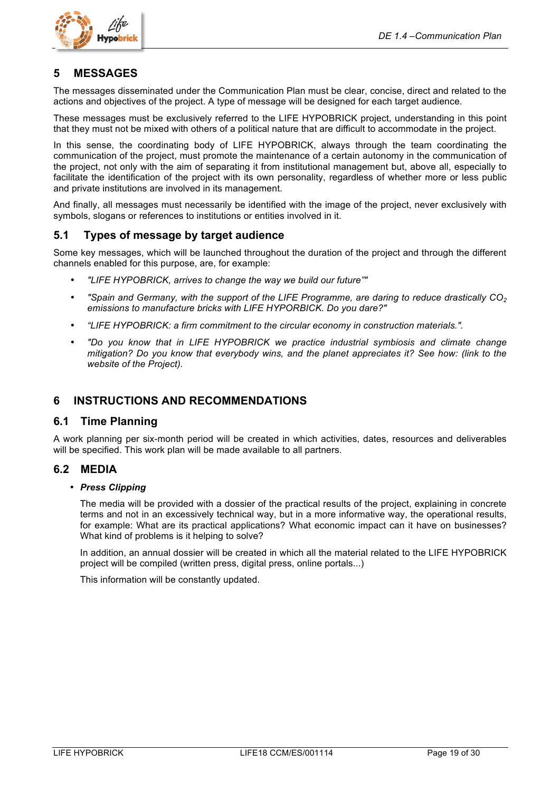

## **5 MESSAGES**

The messages disseminated under the Communication Plan must be clear, concise, direct and related to the actions and objectives of the project. A type of message will be designed for each target audience.

These messages must be exclusively referred to the LIFE HYPOBRICK project, understanding in this point that they must not be mixed with others of a political nature that are difficult to accommodate in the project.

In this sense, the coordinating body of LIFE HYPOBRICK, always through the team coordinating the communication of the project, must promote the maintenance of a certain autonomy in the communication of the project, not only with the aim of separating it from institutional management but, above all, especially to facilitate the identification of the project with its own personality, regardless of whether more or less public and private institutions are involved in its management.

And finally, all messages must necessarily be identified with the image of the project, never exclusively with symbols, slogans or references to institutions or entities involved in it.

## **5.1 Types of message by target audience**

Some key messages, which will be launched throughout the duration of the project and through the different channels enabled for this purpose, are, for example:

- *"LIFE HYPOBRICK, arrives to change the way we build our future""*
- *"Spain and Germany, with the support of the LIFE Programme, are daring to reduce drastically CO2 emissions to manufacture bricks with LIFE HYPORBICK. Do you dare?"*
- *"LIFE HYPOBRICK: a firm commitment to the circular economy in construction materials.".*
- *"Do you know that in LIFE HYPOBRICK we practice industrial symbiosis and climate change mitigation? Do you know that everybody wins, and the planet appreciates it? See how: (link to the website of the Project).*

## **6 INSTRUCTIONS AND RECOMMENDATIONS**

### **6.1 Time Planning**

A work planning per six-month period will be created in which activities, dates, resources and deliverables will be specified. This work plan will be made available to all partners.

## **6.2 MEDIA**

#### • *Press Clipping*

The media will be provided with a dossier of the practical results of the project, explaining in concrete terms and not in an excessively technical way, but in a more informative way, the operational results, for example: What are its practical applications? What economic impact can it have on businesses? What kind of problems is it helping to solve?

In addition, an annual dossier will be created in which all the material related to the LIFE HYPOBRICK project will be compiled (written press, digital press, online portals...)

This information will be constantly updated.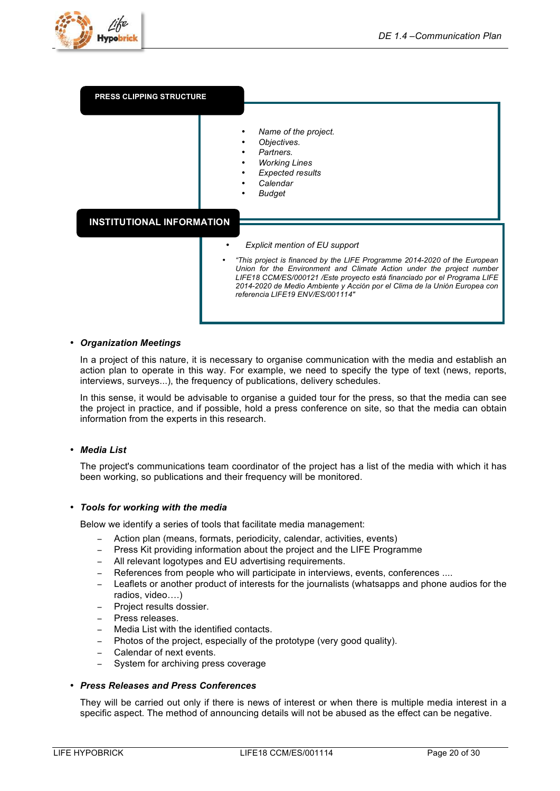

| <b>PRESS CLIPPING STRUCTURE</b>  |                                                                                                                                                                                             |
|----------------------------------|---------------------------------------------------------------------------------------------------------------------------------------------------------------------------------------------|
| <b>INSTITUTIONAL INFORMATION</b> | Name of the project.<br>Objectives.<br>Partners.<br><b>Working Lines</b><br><b>Expected results</b><br>Calendar<br><b>Budget</b>                                                            |
|                                  | <b>Explicit mention of EU support</b><br>"This project is financed by the LIFE Programme 2014-2020 of the European<br>Union for the Environment and Climate Action under the project number |
|                                  | LIFE18 CCM/ES/000121 /Este proyecto está financiado por el Programa LIFE<br>2014-2020 de Medio Ambiente y Acción por el Clima de la Unión Europea con<br>referencia LIFE19 ENV/ES/001114"   |

#### • *Organization Meetings*

In a project of this nature, it is necessary to organise communication with the media and establish an action plan to operate in this way. For example, we need to specify the type of text (news, reports, interviews, surveys...), the frequency of publications, delivery schedules.

In this sense, it would be advisable to organise a guided tour for the press, so that the media can see the project in practice, and if possible, hold a press conference on site, so that the media can obtain information from the experts in this research.

#### • *Media List*

The project's communications team coordinator of the project has a list of the media with which it has been working, so publications and their frequency will be monitored.

#### • *Tools for working with the media*

Below we identify a series of tools that facilitate media management:

- − Action plan (means, formats, periodicity, calendar, activities, events)
- − Press Kit providing information about the project and the LIFE Programme
- All relevant logotypes and EU advertising requirements.
- References from people who will participate in interviews, events, conferences ....
- Leaflets or another product of interests for the journalists (whatsapps and phone audios for the radios, video….)
- − Project results dossier.
- − Press releases.
- − Media List with the identified contacts.
- − Photos of the project, especially of the prototype (very good quality).
- − Calendar of next events.
- − System for archiving press coverage

#### • *Press Releases and Press Conferences*

They will be carried out only if there is news of interest or when there is multiple media interest in a specific aspect. The method of announcing details will not be abused as the effect can be negative.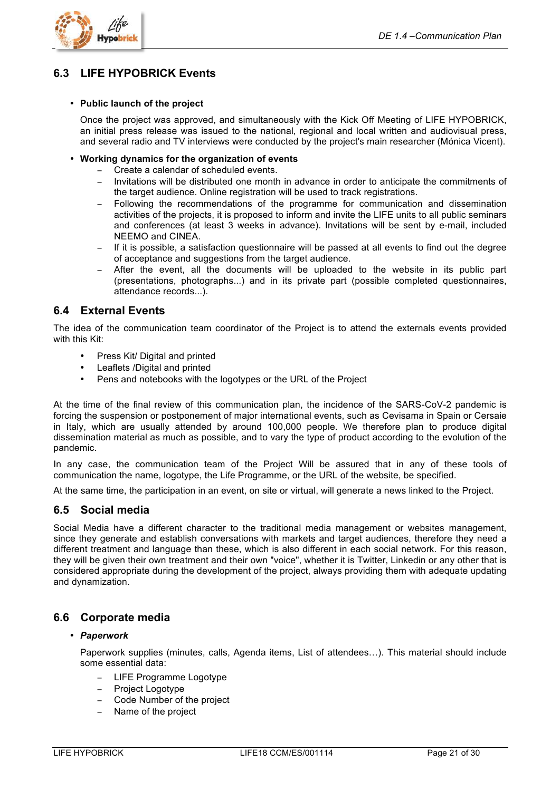

## **6.3 LIFE HYPOBRICK Events**

#### • **Public launch of the project**

Once the project was approved, and simultaneously with the Kick Off Meeting of LIFE HYPOBRICK, an initial press release was issued to the national, regional and local written and audiovisual press, and several radio and TV interviews were conducted by the project's main researcher (Mónica Vicent).

#### • **Working dynamics for the organization of events**

- − Create a calendar of scheduled events.
- Invitations will be distributed one month in advance in order to anticipate the commitments of the target audience. Online registration will be used to track registrations.
- Following the recommendations of the programme for communication and dissemination activities of the projects, it is proposed to inform and invite the LIFE units to all public seminars and conferences (at least 3 weeks in advance). Invitations will be sent by e-mail, included NEEMO and CINEA.
- − If it is possible, a satisfaction questionnaire will be passed at all events to find out the degree of acceptance and suggestions from the target audience.
- After the event, all the documents will be uploaded to the website in its public part (presentations, photographs...) and in its private part (possible completed questionnaires, attendance records...).

## **6.4 External Events**

The idea of the communication team coordinator of the Project is to attend the externals events provided with this Kit:

- Press Kit/ Digital and printed
- Leaflets /Digital and printed
- Pens and notebooks with the logotypes or the URL of the Project

At the time of the final review of this communication plan, the incidence of the SARS-CoV-2 pandemic is forcing the suspension or postponement of major international events, such as Cevisama in Spain or Cersaie in Italy, which are usually attended by around 100,000 people. We therefore plan to produce digital dissemination material as much as possible, and to vary the type of product according to the evolution of the pandemic.

In any case, the communication team of the Project Will be assured that in any of these tools of communication the name, logotype, the Life Programme, or the URL of the website, be specified.

At the same time, the participation in an event, on site or virtual, will generate a news linked to the Project.

### **6.5 Social media**

Social Media have a different character to the traditional media management or websites management, since they generate and establish conversations with markets and target audiences, therefore they need a different treatment and language than these, which is also different in each social network. For this reason, they will be given their own treatment and their own "voice", whether it is Twitter, Linkedin or any other that is considered appropriate during the development of the project, always providing them with adequate updating and dynamization.

## **6.6 Corporate media**

#### • *Paperwork*

Paperwork supplies (minutes, calls, Agenda items, List of attendees…). This material should include some essential data:

- − LIFE Programme Logotype
- − Project Logotype
- − Code Number of the project
- − Name of the project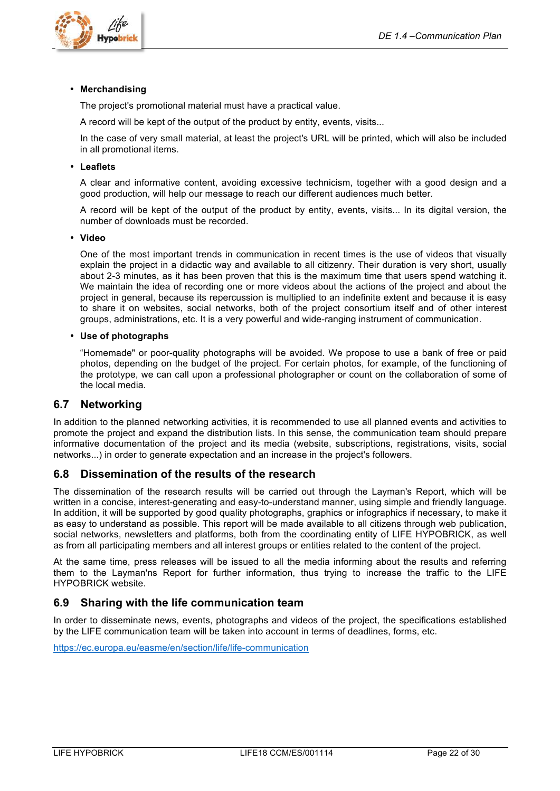

#### • **Merchandising**

The project's promotional material must have a practical value.

A record will be kept of the output of the product by entity, events, visits...

In the case of very small material, at least the project's URL will be printed, which will also be included in all promotional items.

#### • **Leaflets**

A clear and informative content, avoiding excessive technicism, together with a good design and a good production, will help our message to reach our different audiences much better.

A record will be kept of the output of the product by entity, events, visits... In its digital version, the number of downloads must be recorded.

#### • **Video**

One of the most important trends in communication in recent times is the use of videos that visually explain the project in a didactic way and available to all citizenry. Their duration is very short, usually about 2-3 minutes, as it has been proven that this is the maximum time that users spend watching it. We maintain the idea of recording one or more videos about the actions of the project and about the project in general, because its repercussion is multiplied to an indefinite extent and because it is easy to share it on websites, social networks, both of the project consortium itself and of other interest groups, administrations, etc. It is a very powerful and wide-ranging instrument of communication.

#### • **Use of photographs**

"Homemade" or poor-quality photographs will be avoided. We propose to use a bank of free or paid photos, depending on the budget of the project. For certain photos, for example, of the functioning of the prototype, we can call upon a professional photographer or count on the collaboration of some of the local media.

## **6.7 Networking**

In addition to the planned networking activities, it is recommended to use all planned events and activities to promote the project and expand the distribution lists. In this sense, the communication team should prepare informative documentation of the project and its media (website, subscriptions, registrations, visits, social networks...) in order to generate expectation and an increase in the project's followers.

### **6.8 Dissemination of the results of the research**

The dissemination of the research results will be carried out through the Layman's Report, which will be written in a concise, interest-generating and easy-to-understand manner, using simple and friendly language. In addition, it will be supported by good quality photographs, graphics or infographics if necessary, to make it as easy to understand as possible. This report will be made available to all citizens through web publication, social networks, newsletters and platforms, both from the coordinating entity of LIFE HYPOBRICK, as well as from all participating members and all interest groups or entities related to the content of the project.

At the same time, press releases will be issued to all the media informing about the results and referring them to the Layman'ns Report for further information, thus trying to increase the traffic to the LIFE HYPOBRICK website.

## **6.9 Sharing with the life communication team**

In order to disseminate news, events, photographs and videos of the project, the specifications established by the LIFE communication team will be taken into account in terms of deadlines, forms, etc.

https://ec.europa.eu/easme/en/section/life/life-communication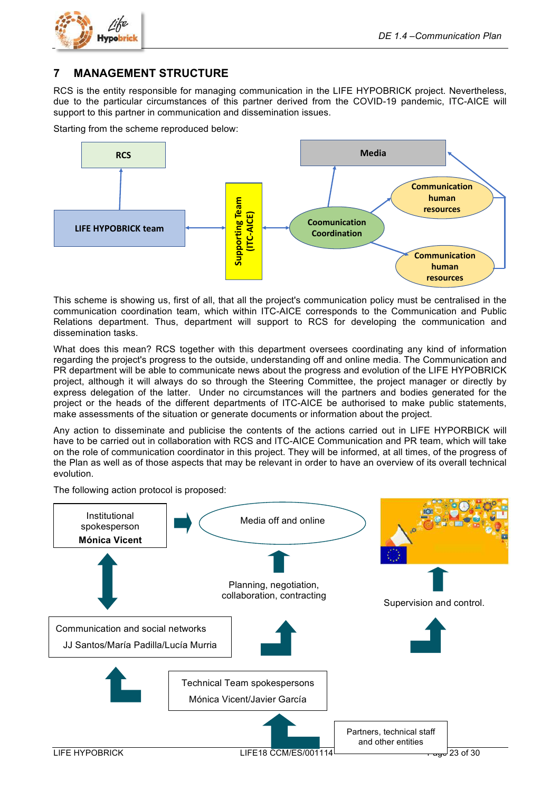

## **7 MANAGEMENT STRUCTURE**

RCS is the entity responsible for managing communication in the LIFE HYPOBRICK project. Nevertheless, due to the particular circumstances of this partner derived from the COVID-19 pandemic, ITC-AICE will support to this partner in communication and dissemination issues.

Starting from the scheme reproduced below:



This scheme is showing us, first of all, that all the project's communication policy must be centralised in the communication coordination team, which within ITC-AICE corresponds to the Communication and Public Relations department. Thus, department will support to RCS for developing the communication and dissemination tasks.

What does this mean? RCS together with this department oversees coordinating any kind of information regarding the project's progress to the outside, understanding off and online media. The Communication and PR department will be able to communicate news about the progress and evolution of the LIFE HYPOBRICK project, although it will always do so through the Steering Committee, the project manager or directly by express delegation of the latter. Under no circumstances will the partners and bodies generated for the project or the heads of the different departments of ITC-AICE be authorised to make public statements, make assessments of the situation or generate documents or information about the project.

Any action to disseminate and publicise the contents of the actions carried out in LIFE HYPORBICK will have to be carried out in collaboration with RCS and ITC-AICE Communication and PR team, which will take on the role of communication coordinator in this project. They will be informed, at all times, of the progress of the Plan as well as of those aspects that may be relevant in order to have an overview of its overall technical evolution.

The following action protocol is proposed:

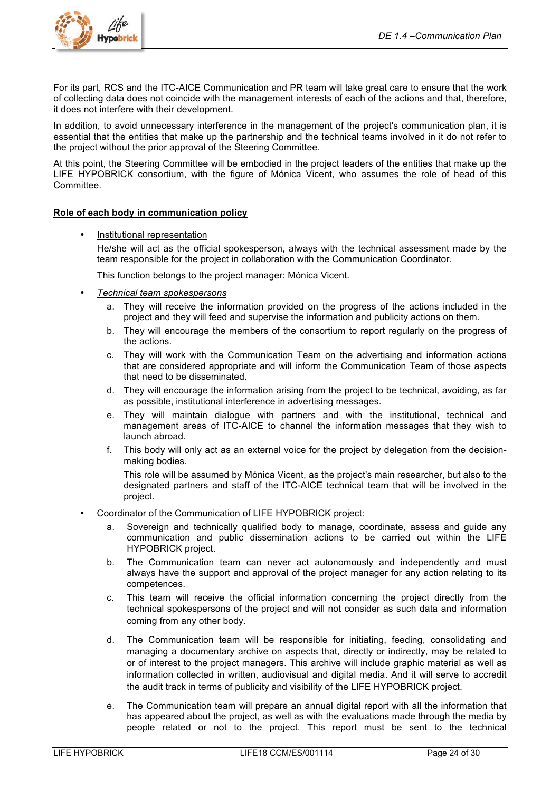

For its part, RCS and the ITC-AICE Communication and PR team will take great care to ensure that the work of collecting data does not coincide with the management interests of each of the actions and that, therefore, it does not interfere with their development.

In addition, to avoid unnecessary interference in the management of the project's communication plan, it is essential that the entities that make up the partnership and the technical teams involved in it do not refer to the project without the prior approval of the Steering Committee.

At this point, the Steering Committee will be embodied in the project leaders of the entities that make up the LIFE HYPOBRICK consortium, with the figure of Mónica Vicent, who assumes the role of head of this Committee.

### **Role of each body in communication policy**

• Institutional representation

He/she will act as the official spokesperson, always with the technical assessment made by the team responsible for the project in collaboration with the Communication Coordinator.

This function belongs to the project manager: Mónica Vicent.

- *Technical team spokespersons*
	- a. They will receive the information provided on the progress of the actions included in the project and they will feed and supervise the information and publicity actions on them.
	- b. They will encourage the members of the consortium to report regularly on the progress of the actions.
	- c. They will work with the Communication Team on the advertising and information actions that are considered appropriate and will inform the Communication Team of those aspects that need to be disseminated.
	- d. They will encourage the information arising from the project to be technical, avoiding, as far as possible, institutional interference in advertising messages.
	- e. They will maintain dialogue with partners and with the institutional, technical and management areas of ITC-AICE to channel the information messages that they wish to launch abroad.
	- f. This body will only act as an external voice for the project by delegation from the decisionmaking bodies.

This role will be assumed by Mónica Vicent, as the project's main researcher, but also to the designated partners and staff of the ITC-AICE technical team that will be involved in the project.

- Coordinator of the Communication of LIFE HYPOBRICK project:
	- a. Sovereign and technically qualified body to manage, coordinate, assess and guide any communication and public dissemination actions to be carried out within the LIFE HYPOBRICK project.
	- b. The Communication team can never act autonomously and independently and must always have the support and approval of the project manager for any action relating to its competences.
	- c. This team will receive the official information concerning the project directly from the technical spokespersons of the project and will not consider as such data and information coming from any other body.
	- d. The Communication team will be responsible for initiating, feeding, consolidating and managing a documentary archive on aspects that, directly or indirectly, may be related to or of interest to the project managers. This archive will include graphic material as well as information collected in written, audiovisual and digital media. And it will serve to accredit the audit track in terms of publicity and visibility of the LIFE HYPOBRICK project.
	- e. The Communication team will prepare an annual digital report with all the information that has appeared about the project, as well as with the evaluations made through the media by people related or not to the project. This report must be sent to the technical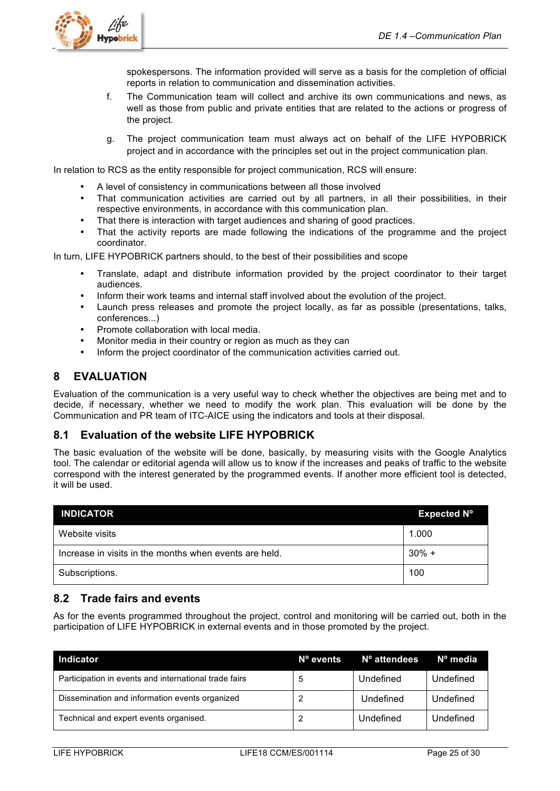

spokespersons. The information provided will serve as a basis for the completion of official reports in relation to communication and dissemination activities.

- f. The Communication team will collect and archive its own communications and news, as well as those from public and private entities that are related to the actions or progress of the project.
- g. The project communication team must always act on behalf of the LIFE HYPOBRICK project and in accordance with the principles set out in the project communication plan.

In relation to RCS as the entity responsible for project communication, RCS will ensure:

- A level of consistency in communications between all those involved
- That communication activities are carried out by all partners, in all their possibilities, in their respective environments, in accordance with this communication plan.
- That there is interaction with target audiences and sharing of good practices.
- That the activity reports are made following the indications of the programme and the project coordinator.

In turn, LIFE HYPOBRICK partners should, to the best of their possibilities and scope

- Translate, adapt and distribute information provided by the project coordinator to their target audiences.
- Inform their work teams and internal staff involved about the evolution of the project.
- Launch press releases and promote the project locally, as far as possible (presentations, talks, conferences...)
- Promote collaboration with local media.
- Monitor media in their country or region as much as they can
- Inform the project coordinator of the communication activities carried out.

## **8 EVALUATION**

Evaluation of the communication is a very useful way to check whether the objectives are being met and to decide, if necessary, whether we need to modify the work plan. This evaluation will be done by the Communication and PR team of ITC-AICE using the indicators and tools at their disposal.

## **8.1 Evaluation of the website LIFE HYPOBRICK**

The basic evaluation of the website will be done, basically, by measuring visits with the Google Analytics tool. The calendar or editorial agenda will allow us to know if the increases and peaks of traffic to the website correspond with the interest generated by the programmed events. If another more efficient tool is detected, it will be used.

| <b>INDICATOR</b>                                       | <b>Expected N°</b> |
|--------------------------------------------------------|--------------------|
| Website visits                                         | 1.000              |
| Increase in visits in the months when events are held. | $30\% +$           |
| Subscriptions.                                         | 100                |

## **8.2 Trade fairs and events**

As for the events programmed throughout the project, control and monitoring will be carried out, both in the participation of LIFE HYPOBRICK in external events and in those promoted by the project.

| <b>Indicator</b>                                      | Nº events | N° attendees | $No$ media |
|-------------------------------------------------------|-----------|--------------|------------|
| Participation in events and international trade fairs | 5         | Undefined    | Undefined  |
| Dissemination and information events organized        |           | Undefined    | Undefined  |
| Technical and expert events organised.                | 2         | Undefined    | Undefined  |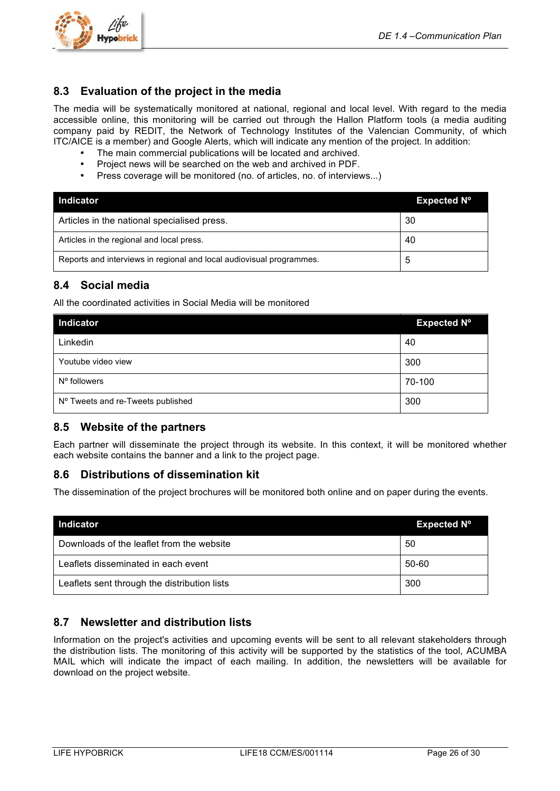

## **8.3 Evaluation of the project in the media**

The media will be systematically monitored at national, regional and local level. With regard to the media accessible online, this monitoring will be carried out through the Hallon Platform tools (a media auditing company paid by REDIT, the Network of Technology Institutes of the Valencian Community, of which ITC/AICE is a member) and Google Alerts, which will indicate any mention of the project. In addition:

- The main commercial publications will be located and archived.
- Project news will be searched on the web and archived in PDF.
- Press coverage will be monitored (no. of articles, no. of interviews...)

| <b>Indicator</b>                                                     | Expected N <sup>o</sup> |
|----------------------------------------------------------------------|-------------------------|
| Articles in the national specialised press.                          | 30                      |
| Articles in the regional and local press.                            | 40                      |
| Reports and interviews in regional and local audiovisual programmes. | ა                       |

## **8.4 Social media**

All the coordinated activities in Social Media will be monitored

| Indicator                         | <b>Expected Nº</b> |
|-----------------------------------|--------------------|
| Linkedin                          | 40                 |
| Youtube video view                | 300                |
| N° followers                      | 70-100             |
| Nº Tweets and re-Tweets published | 300                |

## **8.5 Website of the partners**

Each partner will disseminate the project through its website. In this context, it will be monitored whether each website contains the banner and a link to the project page.

## **8.6 Distributions of dissemination kit**

The dissemination of the project brochures will be monitored both online and on paper during the events.

| <b>Indicator</b>                             | Expected N <sup>o</sup> |
|----------------------------------------------|-------------------------|
| Downloads of the leaflet from the website    | 50                      |
| Leaflets disseminated in each event          | 50-60                   |
| Leaflets sent through the distribution lists | 300                     |

## **8.7 Newsletter and distribution lists**

Information on the project's activities and upcoming events will be sent to all relevant stakeholders through the distribution lists. The monitoring of this activity will be supported by the statistics of the tool, ACUMBA MAIL which will indicate the impact of each mailing. In addition, the newsletters will be available for download on the project website.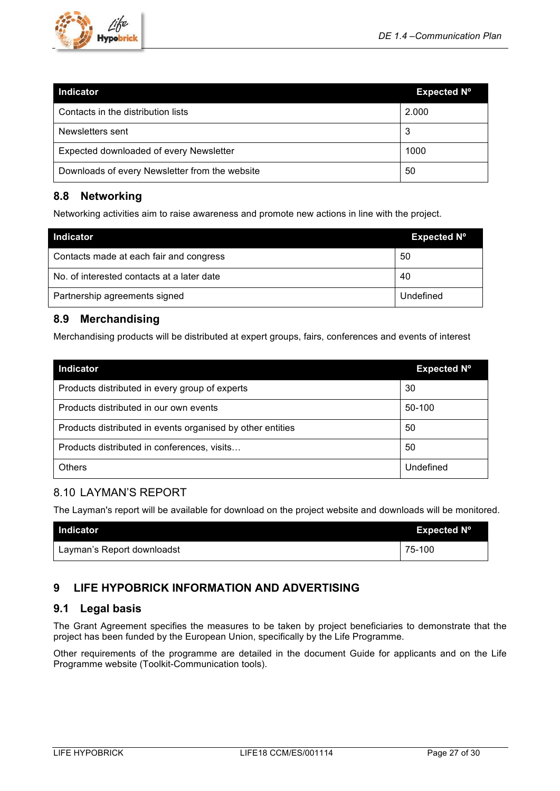

| <b>Indicator</b>                               | Expected N <sup>o</sup> |
|------------------------------------------------|-------------------------|
| Contacts in the distribution lists             | 2.000                   |
| Newsletters sent                               | 3                       |
| Expected downloaded of every Newsletter        | 1000                    |
| Downloads of every Newsletter from the website | 50                      |

## **8.8 Networking**

Networking activities aim to raise awareness and promote new actions in line with the project.

| <b>Indicator</b>                           | <b>Expected Nº</b> |
|--------------------------------------------|--------------------|
| Contacts made at each fair and congress    | 50                 |
| No. of interested contacts at a later date | 40                 |
| Partnership agreements signed              | Undefined          |

## **8.9 Merchandising**

Merchandising products will be distributed at expert groups, fairs, conferences and events of interest

| <b>Indicator</b>                                           | <b>Expected N°</b> |
|------------------------------------------------------------|--------------------|
| Products distributed in every group of experts             | 30                 |
| Products distributed in our own events                     | 50-100             |
| Products distributed in events organised by other entities | 50                 |
| Products distributed in conferences, visits                | 50                 |
| <b>Others</b>                                              | Undefined          |

## 8.10 LAYMAN'S REPORT

The Layman's report will be available for download on the project website and downloads will be monitored.

| Indicator                  | Expected $N^{\circ}$ |
|----------------------------|----------------------|
| Layman's Report downloadst | 75-100               |

## **9 LIFE HYPOBRICK INFORMATION AND ADVERTISING**

## **9.1 Legal basis**

The Grant Agreement specifies the measures to be taken by project beneficiaries to demonstrate that the project has been funded by the European Union, specifically by the Life Programme.

Other requirements of the programme are detailed in the document Guide for applicants and on the Life Programme website (Toolkit-Communication tools).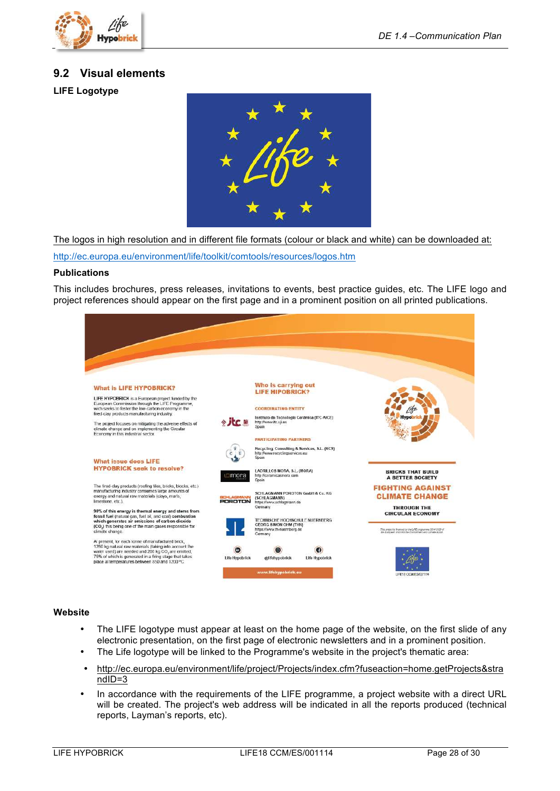

## **9.2 Visual elements**

**LIFE Logotype**



The logos in high resolution and in different file formats (colour or black and white) can be downloaded at:

http://ec.europa.eu/environment/life/toolkit/comtools/resources/logos.htm

#### **Publications**

This includes brochures, press releases, invitations to events, best practice guides, etc. The LIFE logo and project references should appear on the first page and in a prominent position on all printed publications.



#### **Website**

- The LIFE logotype must appear at least on the home page of the website, on the first slide of any electronic presentation, on the first page of electronic newsletters and in a prominent position.
- The Life logotype will be linked to the Programme's website in the project's thematic area:
- http://ec.europa.eu/environment/life/project/Projects/index.cfm?fuseaction=home.getProjects&stra ndID=3
- In accordance with the requirements of the LIFE programme, a project website with a direct URL will be created. The project's web address will be indicated in all the reports produced (technical reports, Layman's reports, etc).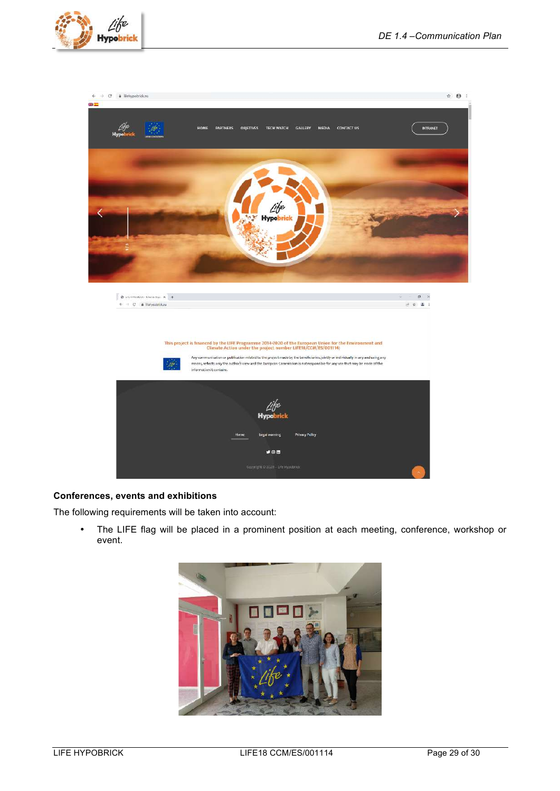



#### **Conferences, events and exhibitions**

The following requirements will be taken into account:

• The LIFE flag will be placed in a prominent position at each meeting, conference, workshop or event.